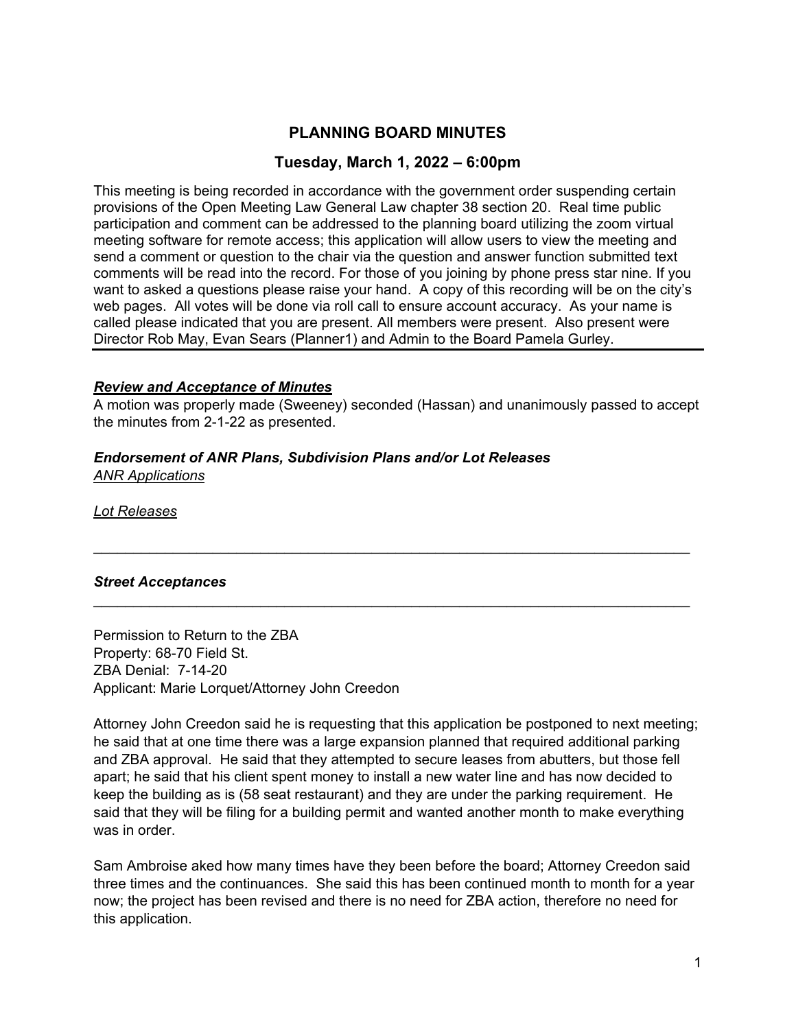# **PLANNING BOARD MINUTES**

## **Tuesday, March 1, 2022 – 6:00pm**

This meeting is being recorded in accordance with the government order suspending certain provisions of the Open Meeting Law General Law chapter 38 section 20. Real time public participation and comment can be addressed to the planning board utilizing the zoom virtual meeting software for remote access; this application will allow users to view the meeting and send a comment or question to the chair via the question and answer function submitted text comments will be read into the record. For those of you joining by phone press star nine. If you want to asked a questions please raise your hand. A copy of this recording will be on the city's web pages. All votes will be done via roll call to ensure account accuracy. As your name is called please indicated that you are present. All members were present. Also present were Director Rob May, Evan Sears (Planner1) and Admin to the Board Pamela Gurley.

#### *Review and Acceptance of Minutes*

A motion was properly made (Sweeney) seconded (Hassan) and unanimously passed to accept the minutes from 2-1-22 as presented.

 $\mathcal{L}_\text{max}$  and  $\mathcal{L}_\text{max}$  and  $\mathcal{L}_\text{max}$  and  $\mathcal{L}_\text{max}$  and  $\mathcal{L}_\text{max}$  and  $\mathcal{L}_\text{max}$ 

#### *Endorsement of ANR Plans, Subdivision Plans and/or Lot Releases ANR Applications*

*Lot Releases* 

### *Street Acceptances*

Permission to Return to the ZBA Property: 68-70 Field St. ZBA Denial: 7-14-20 Applicant: Marie Lorquet/Attorney John Creedon

Attorney John Creedon said he is requesting that this application be postponed to next meeting; he said that at one time there was a large expansion planned that required additional parking and ZBA approval. He said that they attempted to secure leases from abutters, but those fell apart; he said that his client spent money to install a new water line and has now decided to keep the building as is (58 seat restaurant) and they are under the parking requirement. He said that they will be filing for a building permit and wanted another month to make everything was in order.

Sam Ambroise aked how many times have they been before the board; Attorney Creedon said three times and the continuances. She said this has been continued month to month for a year now; the project has been revised and there is no need for ZBA action, therefore no need for this application.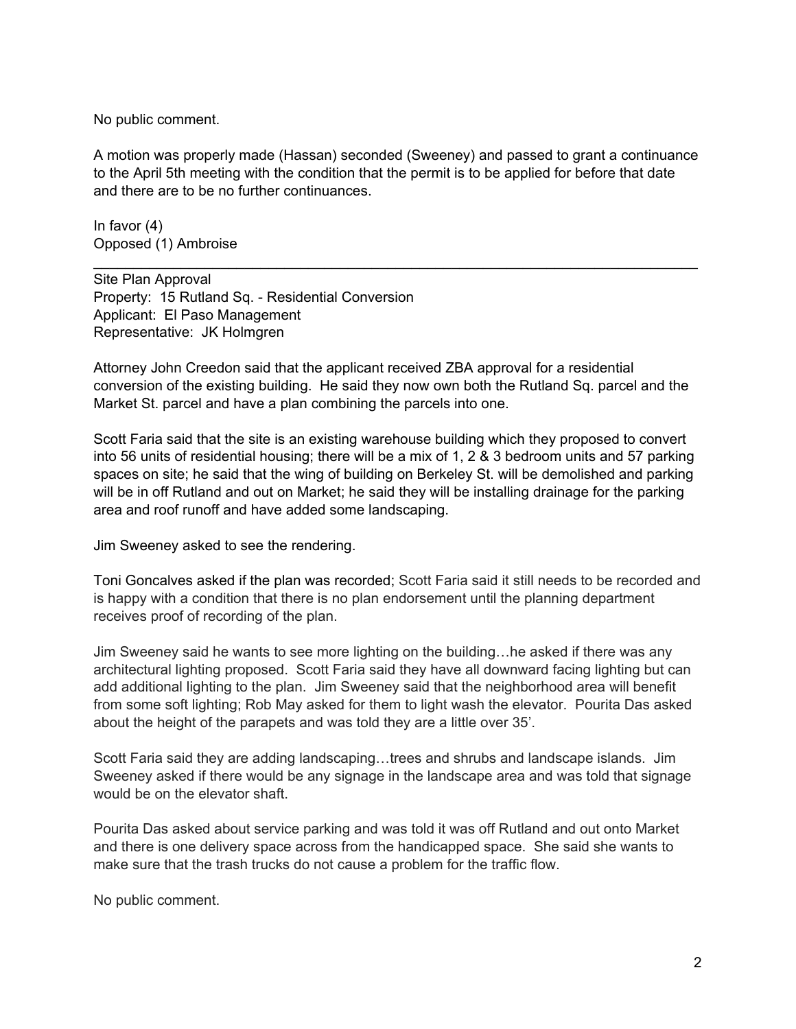No public comment.

A motion was properly made (Hassan) seconded (Sweeney) and passed to grant a continuance to the April 5th meeting with the condition that the permit is to be applied for before that date and there are to be no further continuances.

In favor (4) Opposed (1) Ambroise

Site Plan Approval Property: 15 Rutland Sq. - Residential Conversion Applicant: El Paso Management Representative: JK Holmgren

Attorney John Creedon said that the applicant received ZBA approval for a residential conversion of the existing building. He said they now own both the Rutland Sq. parcel and the Market St. parcel and have a plan combining the parcels into one.

Scott Faria said that the site is an existing warehouse building which they proposed to convert into 56 units of residential housing; there will be a mix of 1, 2 & 3 bedroom units and 57 parking spaces on site; he said that the wing of building on Berkeley St. will be demolished and parking will be in off Rutland and out on Market; he said they will be installing drainage for the parking area and roof runoff and have added some landscaping.

Jim Sweeney asked to see the rendering.

Toni Goncalves asked if the plan was recorded; Scott Faria said it still needs to be recorded and is happy with a condition that there is no plan endorsement until the planning department receives proof of recording of the plan.

Jim Sweeney said he wants to see more lighting on the building…he asked if there was any architectural lighting proposed. Scott Faria said they have all downward facing lighting but can add additional lighting to the plan. Jim Sweeney said that the neighborhood area will benefit from some soft lighting; Rob May asked for them to light wash the elevator. Pourita Das asked about the height of the parapets and was told they are a little over 35'.

Scott Faria said they are adding landscaping…trees and shrubs and landscape islands. Jim Sweeney asked if there would be any signage in the landscape area and was told that signage would be on the elevator shaft.

Pourita Das asked about service parking and was told it was off Rutland and out onto Market and there is one delivery space across from the handicapped space. She said she wants to make sure that the trash trucks do not cause a problem for the traffic flow.

No public comment.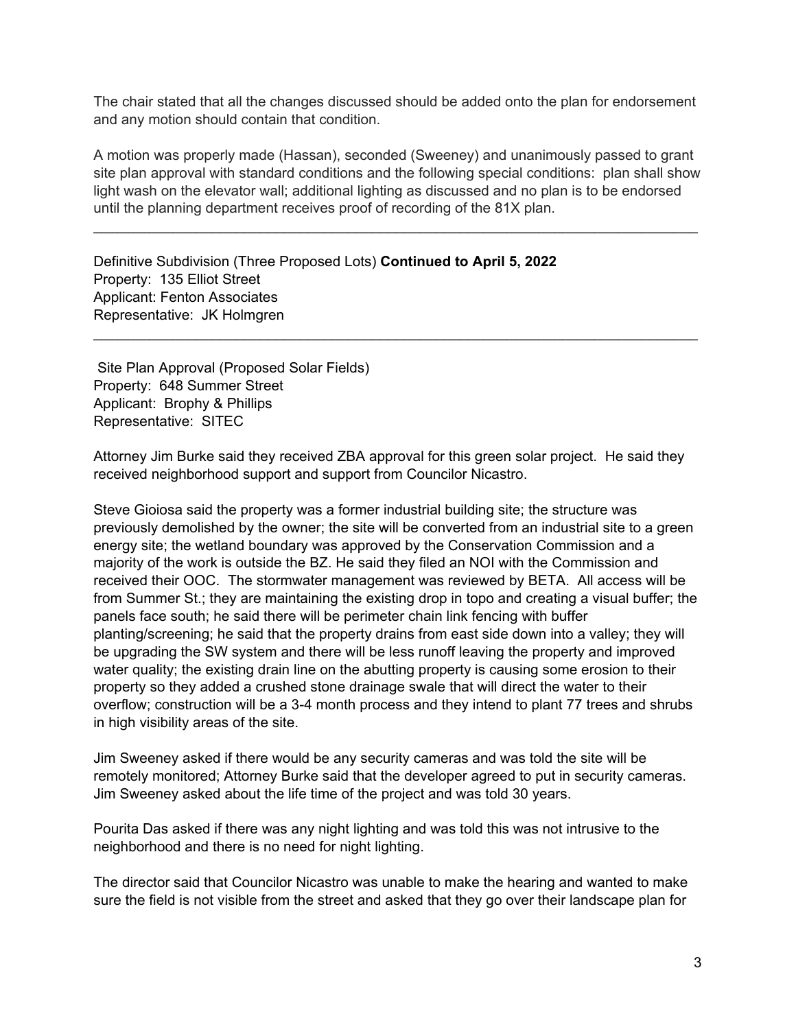The chair stated that all the changes discussed should be added onto the plan for endorsement and any motion should contain that condition.

A motion was properly made (Hassan), seconded (Sweeney) and unanimously passed to grant site plan approval with standard conditions and the following special conditions: plan shall show light wash on the elevator wall; additional lighting as discussed and no plan is to be endorsed until the planning department receives proof of recording of the 81X plan.

 $\_$ 

 $\_$ 

Definitive Subdivision (Three Proposed Lots) **Continued to April 5, 2022**  Property: 135 Elliot Street Applicant: Fenton Associates Representative: JK Holmgren

 Site Plan Approval (Proposed Solar Fields) Property: 648 Summer Street Applicant: Brophy & Phillips Representative: SITEC

Attorney Jim Burke said they received ZBA approval for this green solar project. He said they received neighborhood support and support from Councilor Nicastro.

Steve Gioiosa said the property was a former industrial building site; the structure was previously demolished by the owner; the site will be converted from an industrial site to a green energy site; the wetland boundary was approved by the Conservation Commission and a majority of the work is outside the BZ. He said they filed an NOI with the Commission and received their OOC. The stormwater management was reviewed by BETA. All access will be from Summer St.; they are maintaining the existing drop in topo and creating a visual buffer; the panels face south; he said there will be perimeter chain link fencing with buffer planting/screening; he said that the property drains from east side down into a valley; they will be upgrading the SW system and there will be less runoff leaving the property and improved water quality; the existing drain line on the abutting property is causing some erosion to their property so they added a crushed stone drainage swale that will direct the water to their overflow; construction will be a 3-4 month process and they intend to plant 77 trees and shrubs in high visibility areas of the site.

Jim Sweeney asked if there would be any security cameras and was told the site will be remotely monitored; Attorney Burke said that the developer agreed to put in security cameras. Jim Sweeney asked about the life time of the project and was told 30 years.

Pourita Das asked if there was any night lighting and was told this was not intrusive to the neighborhood and there is no need for night lighting.

The director said that Councilor Nicastro was unable to make the hearing and wanted to make sure the field is not visible from the street and asked that they go over their landscape plan for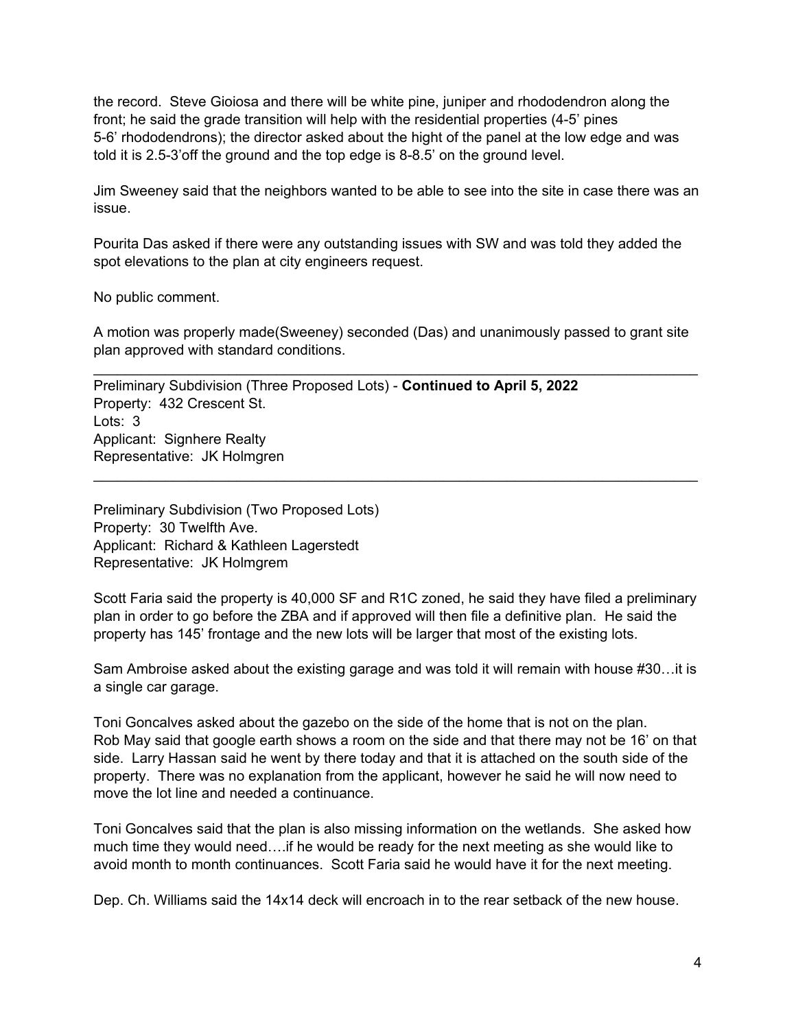the record. Steve Gioiosa and there will be white pine, juniper and rhododendron along the front; he said the grade transition will help with the residential properties (4-5' pines 5-6' rhododendrons); the director asked about the hight of the panel at the low edge and was told it is 2.5-3'off the ground and the top edge is 8-8.5' on the ground level.

Jim Sweeney said that the neighbors wanted to be able to see into the site in case there was an issue.

Pourita Das asked if there were any outstanding issues with SW and was told they added the spot elevations to the plan at city engineers request.

No public comment.

A motion was properly made(Sweeney) seconded (Das) and unanimously passed to grant site plan approved with standard conditions.

\_\_\_\_\_\_\_\_\_\_\_\_\_\_\_\_\_\_\_\_\_\_\_\_\_\_\_\_\_\_\_\_\_\_\_\_\_\_\_\_\_\_\_\_\_\_\_\_\_\_\_\_\_\_\_\_\_\_\_\_\_\_\_\_\_\_\_\_\_\_\_\_\_\_\_\_

 $\_$ 

Preliminary Subdivision (Three Proposed Lots) - **Continued to April 5, 2022**  Property: 432 Crescent St. Lots: 3 Applicant: Signhere Realty Representative: JK Holmgren

Preliminary Subdivision (Two Proposed Lots) Property: 30 Twelfth Ave. Applicant: Richard & Kathleen Lagerstedt Representative: JK Holmgrem

property has 145' frontage and the new lots will be larger that most of the existing lots. Scott Faria said the property is 40,000 SF and R1C zoned, he said they have filed a preliminary plan in order to go before the ZBA and if approved will then file a definitive plan. He said the

Sam Ambroise asked about the existing garage and was told it will remain with house #30…it is a single car garage.

Toni Goncalves asked about the gazebo on the side of the home that is not on the plan. Rob May said that google earth shows a room on the side and that there may not be 16' on that side. Larry Hassan said he went by there today and that it is attached on the south side of the property. There was no explanation from the applicant, however he said he will now need to move the lot line and needed a continuance.

Toni Goncalves said that the plan is also missing information on the wetlands. She asked how much time they would need….if he would be ready for the next meeting as she would like to avoid month to month continuances. Scott Faria said he would have it for the next meeting.

Dep. Ch. Williams said the 14x14 deck will encroach in to the rear setback of the new house.